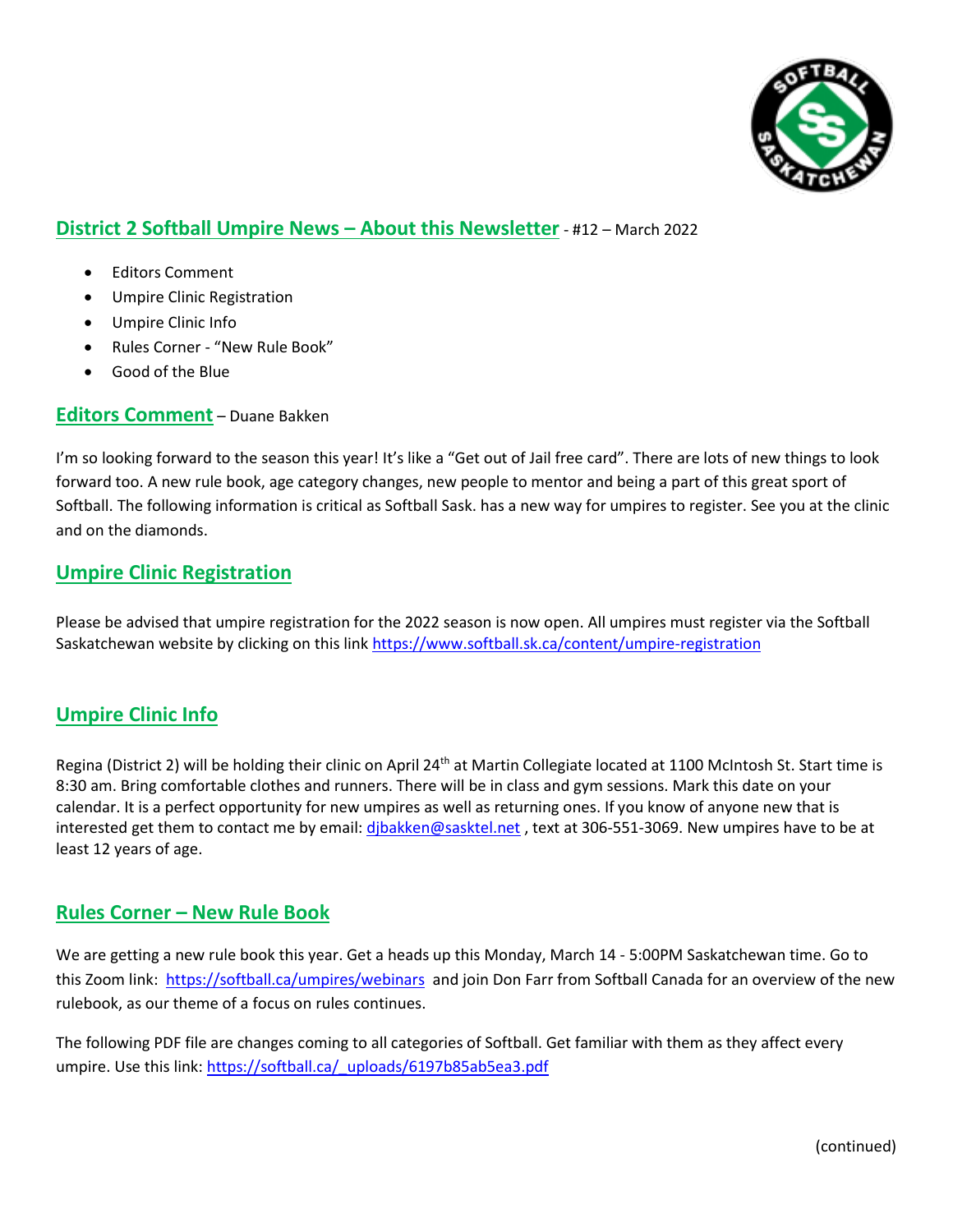

# **District 2 Softball Umpire News – About this Newsletter** - #12 – March 2022

- Editors Comment
- Umpire Clinic Registration
- Umpire Clinic Info
- Rules Corner "New Rule Book"
- Good of the Blue

#### **Editors Comment** – Duane Bakken

I'm so looking forward to the season this year! It's like a "Get out of Jail free card". There are lots of new things to look forward too. A new rule book, age category changes, new people to mentor and being a part of this great sport of Softball. The following information is critical as Softball Sask. has a new way for umpires to register. See you at the clinic and on the diamonds.

## **Umpire Clinic Registration**

Please be advised that umpire registration for the 2022 season is now open. All umpires must register via the Softball Saskatchewan website by clicking on this link<https://www.softball.sk.ca/content/umpire-registration>

## **Umpire Clinic Info**

Regina (District 2) will be holding their clinic on April 24<sup>th</sup> at Martin Collegiate located at 1100 McIntosh St. Start time is 8:30 am. Bring comfortable clothes and runners. There will be in class and gym sessions. Mark this date on your calendar. It is a perfect opportunity for new umpires as well as returning ones. If you know of anyone new that is interested get them to contact me by email[: djbakken@sasktel.net](mailto:djbakken@sasktel.net), text at 306-551-3069. New umpires have to be at least 12 years of age.

#### **Rules Corner – New Rule Book**

We are getting a new rule book this year. Get a heads up this Monday, March 14 - 5:00PM Saskatchewan time. Go to this Zoom link:<https://softball.ca/umpires/webinars>and join Don Farr from Softball Canada for an overview of the new rulebook, as our theme of a focus on rules continues.

The following PDF file are changes coming to all categories of Softball. Get familiar with them as they affect every umpire. Use this link: https://softball.ca/ uploads/6197b85ab5ea3.pdf